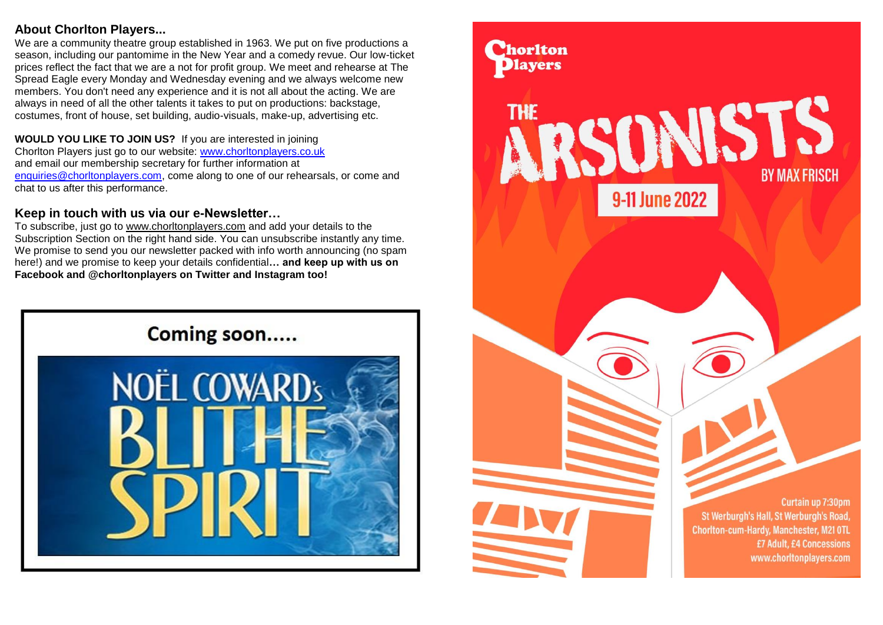## **About Chorlton Players...**

We are a community theatre group established in 1963. We put on five productions a season, including our pantomime in the New Year and a comedy revue. Our low-ticket prices reflect the fact that we are a not for profit group. We meet and rehearse at The Spread Eagle every Monday and Wednesday evening and we always welcome new members. You don't need any experience and it is not all about the acting. We are always in need of all the other talents it takes to put on productions: backstage, costumes, front of house, set building, audio-visuals, make-up, advertising etc.

# **WOULD YOU LIKE TO JOIN US?** If you are interested in joining

Chorlton Players just go to our website: [www.chorltonplayers.co.uk](http://www.chorltonplayers.co.uk/) and email our membership secretary for further information at [enquiries@chorltonplayers.com,](mailto:enquiries@chorltonplayers.com) come along to one of our rehearsals, or come and chat to us after this performance.

# **Keep in touch with us via our e-Newsletter…**

To subscribe, just go to www.chorltonplayers.com and add your details to the Subscription Section on the right hand side. You can unsubscribe instantly any time. We promise to send you our newsletter packed with info worth announcing (no spam here!) and we promise to keep your details confidential**… and keep up with us on Facebook and @chorltonplayers on Twitter and Instagram too!**